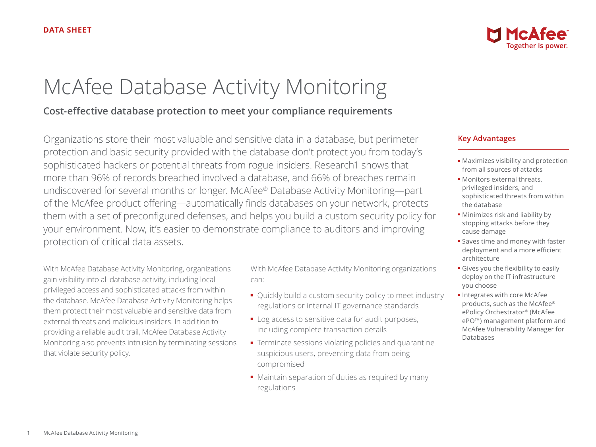# McAfee Database Activity Monitoring

## **Cost-effective database protection to meet your compliance requirements**

Organizations store their most valuable and sensitive data in a database, but perimeter protection and basic security provided with the database don't protect you from today's sophisticated hackers or potential threats from rogue insiders. Research1 shows that more than 96% of records breached involved a database, and 66% of breaches remain undiscovered for several months or longer. McAfee® Database Activity Monitoring—part of the McAfee product offering—automatically finds databases on your network, protects them with a set of preconfigured defenses, and helps you build a custom security policy for your environment. Now, it's easier to demonstrate compliance to auditors and improving protection of critical data assets.

With McAfee Database Activity Monitoring, organizations gain visibility into all database activity, including local privileged access and sophisticated attacks from within the database. McAfee Database Activity Monitoring helps them protect their most valuable and sensitive data from external threats and malicious insiders. In addition to providing a reliable audit trail, McAfee Database Activity Monitoring also prevents intrusion by terminating sessions that violate security policy.

With McAfee Database Activity Monitoring organizations can:

- Quickly build a custom security policy to meet industry regulations or internal IT governance standards
- Log access to sensitive data for audit purposes, including complete transaction details
- Terminate sessions violating policies and quarantine suspicious users, preventing data from being compromised
- Maintain separation of duties as required by many regulations



#### **Key Advantages**

- Maximizes visibility and protection from all sources of attacks
- Monitors external threats, privileged insiders, and sophisticated threats from within the database
- Minimizes risk and liability by stopping attacks before they cause damage
- Saves time and money with faster deployment and a more efficient architecture
- Gives you the flexibility to easily deploy on the IT infrastructure you choose
- Integrates with core McAfee products, such as the McAfee® ePolicy Orchestrator® (McAfee ePO™) management platform and McAfee Vulnerability Manager for Databases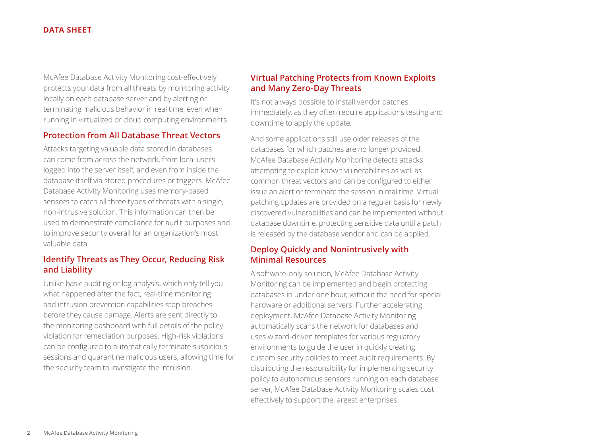#### **DATA SHEET**

McAfee Database Activity Monitoring cost-effectively protects your data from all threats by monitoring activity locally on each database server and by alerting or terminating malicious behavior in real time, even when running in virtualized or cloud computing environments.

#### **Protection from All Database Threat Vectors**

Attacks targeting valuable data stored in databases can come from across the network, from local users logged into the server itself, and even from inside the database itself via stored procedures or triggers. McAfee Database Activity Monitoring uses memory-based sensors to catch all three types of threats with a single, non-intrusive solution. This information can then be used to demonstrate compliance for audit purposes and to improve security overall for an organization's most valuable data.

#### **Identify Threats as They Occur, Reducing Risk and Liability**

Unlike basic auditing or log analysis, which only tell you what happened after the fact, real-time monitoring and intrusion prevention capabilities stop breaches before they cause damage. Alerts are sent directly to the monitoring dashboard with full details of the policy violation for remediation purposes. High-risk violations can be configured to automatically terminate suspicious sessions and quarantine malicious users, allowing time for the security team to investigate the intrusion.

#### **Virtual Patching Protects from Known Exploits and Many Zero-Day Threats**

It's not always possible to install vendor patches immediately, as they often require applications testing and downtime to apply the update.

And some applications still use older releases of the databases for which patches are no longer provided. McAfee Database Activity Monitoring detects attacks attempting to exploit known vulnerabilities as well as common threat vectors and can be configured to either issue an alert or terminate the session in real time. Virtual patching updates are provided on a regular basis for newly discovered vulnerabilities and can be implemented without database downtime, protecting sensitive data until a patch is released by the database vendor and can be applied.

#### **Deploy Quickly and Nonintrusively with Minimal Resources**

A software-only solution, McAfee Database Activity Monitoring can be implemented and begin protecting databases in under one hour, without the need for special hardware or additional servers. Further accelerating deployment, McAfee Database Activity Monitoring automatically scans the network for databases and uses wizard-driven templates for various regulatory environments to guide the user in quickly creating custom security policies to meet audit requirements. By distributing the responsibility for implementing security policy to autonomous sensors running on each database server, McAfee Database Activity Monitoring scales cost effectively to support the largest enterprises.